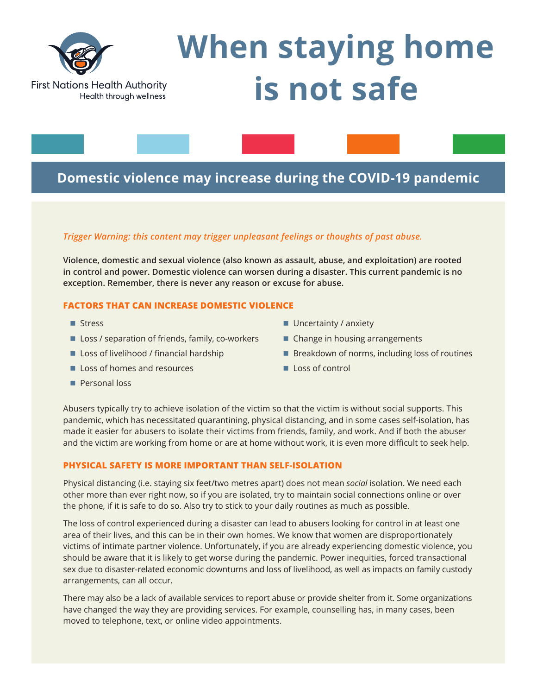

# **Domestic violence may increase during the COVID-19 pandemic**

## *Trigger Warning: this content may trigger unpleasant feelings or thoughts of past abuse.*

**Violence, domestic and sexual violence (also known as assault, abuse, and exploitation) are rooted in control and power. Domestic violence can worsen during a disaster. This current pandemic is no exception. Remember, there is never any reason or excuse for abuse.**

## **FACTORS THAT CAN INCREASE DOMESTIC VIOLENCE**

- $\blacksquare$  Stress
- $\blacksquare$  Loss / separation of friends, family, co-workers
- Loss of livelihood / financial hardship
- **Loss of homes and resources**
- **n** Personal loss
- $\blacksquare$  Uncertainty / anxiety
- $\blacksquare$  Change in housing arrangements
- $\blacksquare$  Breakdown of norms, including loss of routines
- $\blacksquare$  Loss of control

Abusers typically try to achieve isolation of the victim so that the victim is without social supports. This pandemic, which has necessitated quarantining, physical distancing, and in some cases self-isolation, has made it easier for abusers to isolate their victims from friends, family, and work. And if both the abuser and the victim are working from home or are at home without work, it is even more difficult to seek help.

## **PHYSICAL SAFETY IS MORE IMPORTANT THAN SELF-ISOLATION**

Physical distancing (i.e. staying six feet/two metres apart) does not mean *social* isolation. We need each other more than ever right now, so if you are isolated, try to maintain social connections online or over the phone, if it is safe to do so. Also try to stick to your daily routines as much as possible.

The loss of control experienced during a disaster can lead to abusers looking for control in at least one area of their lives, and this can be in their own homes. We know that women are disproportionately victims of intimate partner violence. Unfortunately, if you are already experiencing domestic violence, you should be aware that it is likely to get worse during the pandemic. Power inequities, forced transactional sex due to disaster-related economic downturns and loss of livelihood, as well as impacts on family custody arrangements, can all occur.

There may also be a lack of available services to report abuse or provide shelter from it. Some organizations have changed the way they are providing services. For example, counselling has, in many cases, been moved to telephone, text, or online video appointments.